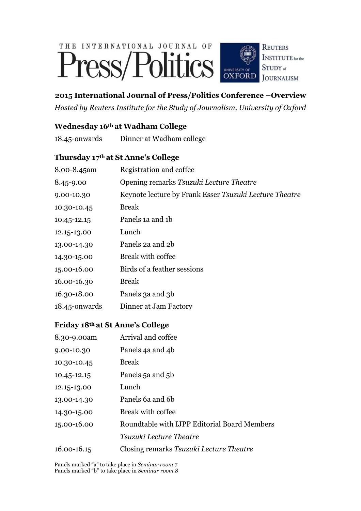# THE INTERNATIONAL JOURNAL OF Press/Politics



# **2015 International Journal of Press/Politics Conference –Overview**

*Hosted by Reuters Institute for the Study of Journalism, University of Oxford*

# **Wednesday 16th at Wadham College**

| $18.45$ -onwards | Dinner at Wadham college |  |
|------------------|--------------------------|--|
|                  |                          |  |

## **Thursday 17th at St Anne's College**

| 8.00-8.45am   | Registration and coffee                                |
|---------------|--------------------------------------------------------|
| $8.45 - 9.00$ | Opening remarks Tsuzuki Lecture Theatre                |
| 9.00-10.30    | Keynote lecture by Frank Esser Tsuzuki Lecture Theatre |
| 10.30-10.45   | <b>Break</b>                                           |
| 10.45-12.15   | Panels 1a and 1b                                       |
| 12.15-13.00   | Lunch                                                  |
| 13.00-14.30   | Panels 2a and 2b                                       |
| 14.30-15.00   | Break with coffee                                      |
| 15.00-16.00   | Birds of a feather sessions                            |
| 16.00-16.30   | <b>Break</b>                                           |
| 16.30-18.00   | Panels 3a and 3b                                       |
| 18.45-onwards | Dinner at Jam Factory                                  |

# **Friday 18th at St Anne's College**

| 8.30-9.00am | Arrival and coffee                           |
|-------------|----------------------------------------------|
| 9.00-10.30  | Panels 4a and 4b                             |
| 10.30-10.45 | <b>Break</b>                                 |
| 10.45-12.15 | Panels 5a and 5b                             |
| 12.15-13.00 | Lunch                                        |
| 13.00-14.30 | Panels 6a and 6b                             |
| 14.30-15.00 | Break with coffee                            |
| 15.00-16.00 | Roundtable with IJPP Editorial Board Members |
|             | Tsuzuki Lecture Theatre                      |
| 16.00-16.15 | Closing remarks Tsuzuki Lecture Theatre      |

Panels marked "a" to take place in *Seminar room 7* Panels marked "b" to take place in *Seminar room 8*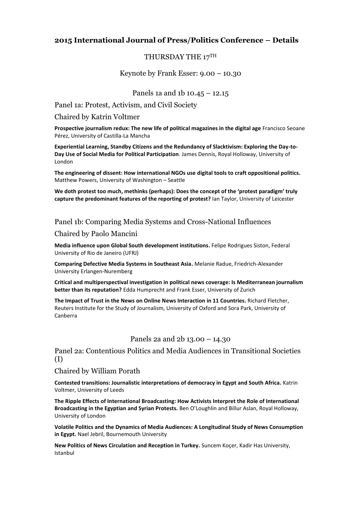## **2015 International Journal of Press/Politics Conference – Details**

## THURSDAY THE 17TH

Keynote by Frank Esser: 9.00 – 10.30

## Panels 1a and 1b 10.45 – 12.15

Panel 1a: Protest, Activism, and Civil Society

#### Chaired by Katrin Voltmer

**Prospective journalism redux: The new life of political magazines in the digital age** Francisco Seoane Pérez, University of Castilla-La Mancha

**Experiential Learning, Standby Citizens and the Redundancy of Slacktivism: Exploring the Day-to-Day Use of Social Media for Political Participation**. James Dennis, Royal Holloway, University of London

**The engineering of dissent: How international NGOs use digital tools to craft oppositional politics.**  Matthew Powers, University of Washington – Seattle

**We doth protest too much, methinks (perhaps): Does the concept of the 'protest paradigm' truly capture the predominant features of the reporting of protest?** Ian Taylor, University of Leicester

## Panel 1b: Comparing Media Systems and Cross-National Influences

## Chaired by Paolo Mancini

**Media influence upon Global South development institutions.** Felipe Rodrigues Siston, Federal University of Rio de Janeiro (UFRJ)

**Comparing Defective Media Systems in Southeast Asia.** Melanie Radue, Friedrich-Alexander University Erlangen-Nuremberg

**Critical and multiperspectival investigation in political news coverage: Is Mediterranean journalism better than its reputation?** Edda Humprecht and Frank Esser, University of Zurich

**The Impact of Trust in the News on Online News Interaction in 11 Countries.** Richard Fletcher, Reuters Institute for the Study of Journalism, University of Oxford and Sora Park, University of Canberra

## Panels 2a and 2b 13.00 – 14.30

Panel 2a: Contentious Politics and Media Audiences in Transitional Societies (I)

## Chaired by William Porath

**Contested transitions: Journalistic interpretations of democracy in Egypt and South Africa.** Katrin Voltmer, University of Leeds

**The Ripple Effects of International Broadcasting: How Activists Interpret the Role of International Broadcasting in the Egyptian and Syrian Protests.** Ben O'Loughlin and Billur Aslan, Royal Holloway, University of London

**Volatile Politics and the Dynamics of Media Audiences: A Longitudinal Study of News Consumption in Egypt.** Nael Jebril, Bournemouth University

**New Politics of News Circulation and Reception in Turkey.** Suncem Koçer, Kadir Has University, Istanbul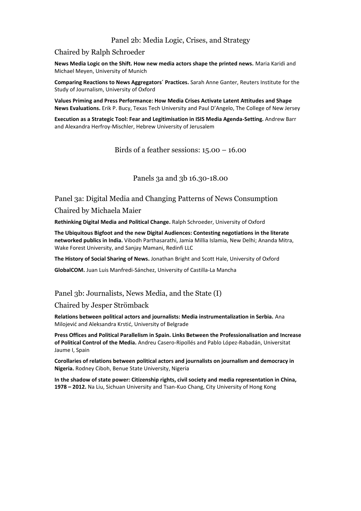## Panel 2b: Media Logic, Crises, and Strategy

## Chaired by Ralph Schroeder

**News Media Logic on the Shift. How new media actors shape the printed news.** Maria Karidi and Michael Meyen, University of Munich

**Comparing Reactions to News Aggregators´ Practices.** Sarah Anne Ganter, Reuters Institute for the Study of Journalism, University of Oxford

**Values Priming and Press Performance: How Media Crises Activate Latent Attitudes and Shape News Evaluations.** Erik P. Bucy, Texas Tech University and Paul D'Angelo, The College of New Jersey

**Execution as a Strategic Tool: Fear and Legitimisation in ISIS Media Agenda-Setting.** Andrew Barr and Alexandra Herfroy-Mischler, Hebrew University of Jerusalem

Birds of a feather sessions:  $15.00 - 16.00$ 

## Panels 3a and 3b 16.30-18.00

Panel 3a: Digital Media and Changing Patterns of News Consumption

## Chaired by Michaela Maier

**Rethinking Digital Media and Political Change.** Ralph Schroeder, University of Oxford

**The Ubiquitous Bigfoot and the new Digital Audiences: Contesting negotiations in the literate networked publics in India.** Vibodh Parthasarathi, Jamia Millia Islamia, New Delhi; Ananda Mitra, Wake Forest University, and Sanjay Mamani, Redinfi LLC

**The History of Social Sharing of News.** Jonathan Bright and Scott Hale, University of Oxford

**GlobalCOM.** Juan Luis Manfredi-Sánchez, University of Castilla-La Mancha

## Panel 3b: Journalists, News Media, and the State (I)

### Chaired by Jesper Strömback

**Relations between political actors and journalists: Media instrumentalization in Serbia.** Ana Milojević and Aleksandra Krstić, University of Belgrade

**Press Offices and Political Parallelism in Spain. Links Between the Professionalisation and Increase of Political Control of the Media.** Andreu Casero-Ripollés and Pablo López-Rabadán, Universitat Jaume I, Spain

**Corollaries of relations between political actors and journalists on journalism and democracy in Nigeria.** Rodney Ciboh, Benue State University, Nigeria

**In the shadow of state power: Citizenship rights, civil society and media representation in China, 1978 – 2012.** Na Liu, Sichuan University and Tsan-Kuo Chang, City University of Hong Kong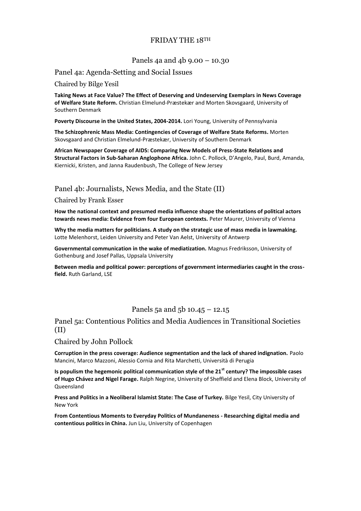## FRIDAY THE 18TH

## Panels 4a and 4b 9.00 – 10.30

## Panel 4a: Agenda-Setting and Social Issues

Chaired by Bilge Yesil

**Taking News at Face Value? The Effect of Deserving and Undeserving Exemplars in News Coverage of Welfare State Reform.** Christian Elmelund-Præstekær and Morten Skovsgaard, University of Southern Denmark

**Poverty Discourse in the United States, 2004-2014.** Lori Young, University of Pennsylvania

**The Schizophrenic Mass Media: Contingencies of Coverage of Welfare State Reforms.** Morten Skovsgaard and Christian Elmelund-Præstekær, University of Southern Denmark

**African Newspaper Coverage of AIDS: Comparing New Models of Press-State Relations and Structural Factors in Sub-Saharan Anglophone Africa.** John C. Pollock, D'Angelo, Paul, Burd, Amanda, Kiernicki, Kristen, and Janna Raudenbush, The College of New Jersey

## Panel 4b: Journalists, News Media, and the State (II)

Chaired by Frank Esser

**How the national context and presumed media influence shape the orientations of political actors towards news media: Evidence from four European contexts.** Peter Maurer, University of Vienna

**Why the media matters for politicians. A study on the strategic use of mass media in lawmaking.**  Lotte Melenhorst, Leiden University and Peter Van Aelst, University of Antwerp

**Governmental communication in the wake of mediatization.** Magnus Fredriksson, University of Gothenburg and Josef Pallas, Uppsala University

**Between media and political power: perceptions of government intermediaries caught in the crossfield.** Ruth Garland, LSE

## Panels 5a and 5b 10.45 – 12.15

## Panel 5a: Contentious Politics and Media Audiences in Transitional Societies (II)

## Chaired by John Pollock

**Corruption in the press coverage: Audience segmentation and the lack of shared indignation.** Paolo Mancini, Marco Mazzoni, Alessio Cornia and Rita Marchetti, Università di Perugia

**Is populism the hegemonic political communication style of the 21st century? The impossible cases of Hugo Chávez and Nigel Farage.** Ralph Negrine, University of Sheffield and Elena Block, University of Queensland

**Press and Politics in a Neoliberal Islamist State: The Case of Turkey.** Bilge Yesil, City University of New York

**From Contentious Moments to Everyday Politics of Mundaneness - Researching digital media and contentious politics in China.** Jun Liu, University of Copenhagen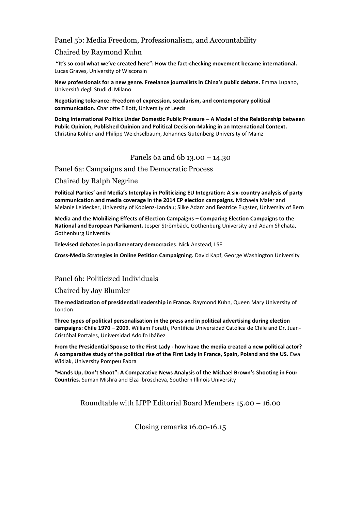## Panel 5b: Media Freedom, Professionalism, and Accountability

## Chaired by Raymond Kuhn

**"It's so cool what we've created here": How the fact-checking movement became international.**  Lucas Graves, University of Wisconsin

**New professionals for a new genre. Freelance journalists in China's public debate.** Emma Lupano, Università degli Studi di Milano

**Negotiating tolerance: Freedom of expression, secularism, and contemporary political communication.** Charlotte Elliott, University of Leeds

**Doing International Politics Under Domestic Public Pressure – A Model of the Relationship between Public Opinion, Published Opinion and Political Decision-Making in an International Context.**  Christina Köhler and Philipp Weichselbaum, Johannes Gutenberg University of Mainz

## Panels 6a and 6b 13.00 – 14.30

Panel 6a: Campaigns and the Democratic Process

Chaired by Ralph Negrine

**Political Parties' and Media's Interplay in Politicizing EU Integration: A six-country analysis of party communication and media coverage in the 2014 EP election campaigns.** Michaela Maier and Melanie Leidecker, University of Koblenz-Landau; Silke Adam and Beatrice Eugster, University of Bern

**Media and the Mobilizing Effects of Election Campaigns – Comparing Election Campaigns to the National and European Parliament.** Jesper Strömbäck, Gothenburg University and Adam Shehata, Gothenburg University

**Televised debates in parliamentary democracies**. Nick Anstead, LSE

**Cross-Media Strategies in Online Petition Campaigning.** David Kapf, George Washington University

## Panel 6b: Politicized Individuals

## Chaired by Jay Blumler

**The mediatization of presidential leadership in France.** Raymond Kuhn, Queen Mary University of London

**Three types of political personalisation in the press and in political advertising during election campaigns: Chile 1970 – 2009**. William Porath, Pontificia Universidad Católica de Chile and Dr. Juan-Cristóbal Portales, Universidad Adolfo Ibáñez

**From the Presidential Spouse to the First Lady - how have the media created a new political actor? A comparative study of the political rise of the First Lady in France, Spain, Poland and the US.** Ewa Widlak, University Pompeu Fabra

**"Hands Up, Don't Shoot": A Comparative News Analysis of the Michael Brown's Shooting in Four Countries.** Suman Mishra and Elza Ibroscheva, Southern Illinois University

Roundtable with IJPP Editorial Board Members 15.00 – 16.00

Closing remarks 16.00-16.15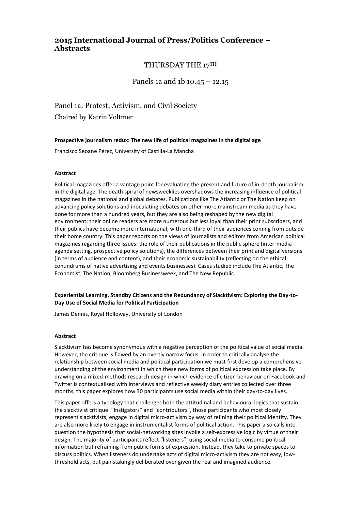## **2015 International Journal of Press/Politics Conference – Abstracts**

## THURSDAY THE 17TH

## Panels 1a and 1b 10.45 – 12.15

Panel 1a: Protest, Activism, and Civil Society Chaired by Katrin Voltmer

**Prospective journalism redux: The new life of political magazines in the digital age**

Francisco Seoane Pérez, University of Castilla-La Mancha

#### **Abstract**

Political magazines offer a vantage point for evaluating the present and future of in-depth journalism in the digital age. The death spiral of newsweeklies overshadows the increasing influence of political magazines in the national and global debates. Publications like The Atlantic or The Nation keep on advancing policy solutions and inoculating debates on other more mainstream media as they have done for more than a hundred years, but they are also being reshaped by the new digital environment: their online readers are more numerous but less loyal than their print subscribers, and their publics have become more international, with one-third of their audiences coming from outside their home country. This paper reports on the views of journalists and editors from American political magazines regarding three issues: the role of their publications in the public sphere (inter-media agenda setting, prospective policy solutions), the differences between their print and digital versions (in terms of audience and content), and their economic sustainability (reflecting on the ethical conundrums of native advertising and events businesses). Cases studied include The Atlantic, The Economist, The Nation, Bloomberg Businessweek, and The New Republic.

#### **Experiential Learning, Standby Citizens and the Redundancy of Slacktivism: Exploring the Day-to-Day Use of Social Media for Political Participation**

James Dennis, Royal Holloway, University of London

#### **Abstract**

Slacktivism has become synonymous with a negative perception of the political value of social media. However, the critique is flawed by an overtly narrow focus. In order to critically analyse the relationship between social media and political participation we must first develop a comprehensive understanding of the environment in which these new forms of political expression take place. By drawing on a mixed-methods research design in which evidence of citizen behaviour on Facebook and Twitter is contextualised with interviews and reflective weekly diary entries collected over three months, this paper explores how 30 participants use social media within their day-to-day lives.

This paper offers a typology that challenges both the attitudinal and behavioural logics that sustain the slacktivist critique. "Instigators" and "contributors", those participants who most closely represent slacktivists, engage in digital micro-activism by way of refining their political identity. They are also more likely to engage in instrumentalist forms of political action. This paper also calls into question the hypothesis that social-networking sites invoke a self-expressive logic by virtue of their design. The majority of participants reflect "listeners", using social media to consume political information but refraining from public forms of expression. Instead, they take to private spaces to discuss politics. When listeners do undertake acts of digital micro-activism they are not easy, lowthreshold acts, but painstakingly deliberated over given the real and imagined audience.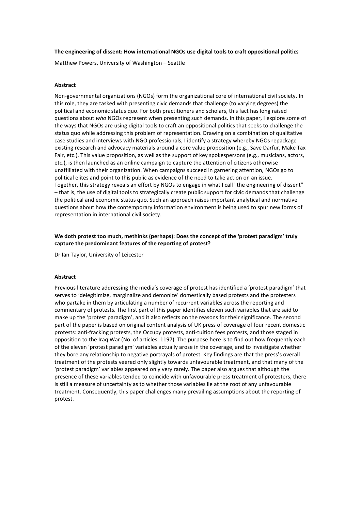#### **The engineering of dissent: How international NGOs use digital tools to craft oppositional politics**

Matthew Powers, University of Washington – Seattle

#### **Abstract**

Non-governmental organizations (NGOs) form the organizational core of international civil society. In this role, they are tasked with presenting civic demands that challenge (to varying degrees) the political and economic status quo. For both practitioners and scholars, this fact has long raised questions about *who* NGOs represent when presenting such demands. In this paper, I explore some of the ways that NGOs are using digital tools to craft an oppositional politics that seeks to challenge the status quo while addressing this problem of representation. Drawing on a combination of qualitative case studies and interviews with NGO professionals, I identify a strategy whereby NGOs repackage existing research and advocacy materials around a core value proposition (e.g., Save Darfur, Make Tax Fair, etc.). This value proposition, as well as the support of key spokespersons (e.g., musicians, actors, etc.), is then launched as an online campaign to capture the attention of citizens otherwise unaffiliated with their organization. When campaigns succeed in garnering attention, NGOs go to political elites and point to this public as evidence of the need to take action on an issue. Together, this strategy reveals an effort by NGOs to engage in what I call "the engineering of dissent" – that is, the use of digital tools to strategically create public support for civic demands that challenge the political and economic status quo. Such an approach raises important analytical and normative questions about how the contemporary information environment is being used to spur new forms of representation in international civil society.

#### **We doth protest too much, methinks (perhaps): Does the concept of the 'protest paradigm' truly capture the predominant features of the reporting of protest?**

Dr Ian Taylor, University of Leicester

#### **Abstract**

Previous literature addressing the media's coverage of protest has identified a 'protest paradigm' that serves to 'delegitimize, marginalize and demonize' domestically based protests and the protesters who partake in them by articulating a number of recurrent variables across the reporting and commentary of protests. The first part of this paper identifies eleven such variables that are said to make up the 'protest paradigm', and it also reflects on the reasons for their significance. The second part of the paper is based on original content analysis of UK press of coverage of four recent domestic protests: anti-fracking protests, the Occupy protests, anti-tuition fees protests, and those staged in opposition to the Iraq War (No. of articles: 1197). The purpose here is to find out how frequently each of the eleven 'protest paradigm' variables actually arose in the coverage, and to investigate whether they bore any relationship to negative portrayals of protest. Key findings are that the press's overall treatment of the protests veered only slightly towards unfavourable treatment, and that many of the 'protest paradigm' variables appeared only very rarely. The paper also argues that although the presence of these variables tended to coincide with unfavourable press treatment of protesters, there is still a measure of uncertainty as to whether those variables lie at the root of any unfavourable treatment. Consequently, this paper challenges many prevailing assumptions about the reporting of protest.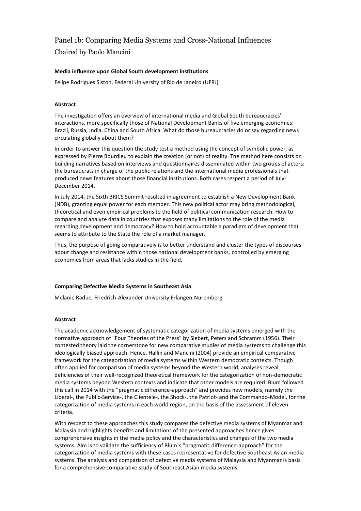## Panel 1b: Comparing Media Systems and Cross-National Influences

Chaired by Paolo Mancini

#### **Media influence upon Global South development institutions**

Felipe Rodrigues Siston, Federal University of Rio de Janeiro (UFRJ)

## **Abstract**

The investigation offers an overview of international media and Global South bureaucracies' interactions, more specifically those of National Development Banks of five emerging economies: Brazil, Russia, India, China and South Africa. What do those bureaucracies do or say regarding news circulating globally about them?

In order to answer this question the study test a method using the concept of symbolic power, as expressed by Pierre Bourdieu to explain the creation (or not) of reality. The method here consists on building narratives based on interviews and questionnaires disseminated within two groups of actors: the bureaucrats in charge of the public relations and the international media professionals that produced news features about those financial institutions. Both cases respect a period of July-December 2014.

In July 2014, the Sixth BRICS Summit resulted in agreement to establish a New Development Bank (NDB), granting equal power for each member. This new political actor may bring methodological, theoretical and even empirical problems to the field of political communication research. How to compare and analyze data in countries that exposes many limitations to the role of the media regarding development and democracy? How to hold accountable a paradigm of development that seems to attribute to the State the role of a market manager.

Thus, the purpose of going comparatively is to better understand and cluster the types of discourses about change and resistance within those national development banks, controlled by emerging economies from areas that lacks studies in the field.

#### **Comparing Defective Media Systems in Southeast Asia**

Melanie Radue, Friedrich-Alexander University Erlangen-Nuremberg

#### **Abstract**

The academic acknowledgement of systematic categorization of media systems emerged with the normative approach of "Four Theories of the Press" by Siebert, Peters and Schramm (1956). Their contested theory laid the cornerstone for new comparative studies of media systems to challenge this ideologically biased approach. Hence, Hallin and Mancini (2004) provide an empirical comparative framework for the categorization of media systems within Western democratic contexts. Though often applied for comparison of media systems beyond the Western world, analyses reveal deficiencies of their well-recognized theoretical framework for the categorization of non-democratic media systems beyond Western contexts and indicate that other models are required. Blum followed this call in 2014 with the "pragmatic difference-approach" and provides new models, namely the Liberal-, the Public-Service-, the Clientele-, the Shock-, the Patriot- and the Commando-Model, for the categorization of media systems in each world region, on the basis of the assessment of eleven criteria.

With respect to these approaches this study compares the defective media systems of Myanmar and Malaysia and highlights benefits and limitations of the presented approaches hence gives comprehensive insights in the media policy and the characteristics and changes of the two media systems. Aim is to validate the sufficiency of Blum´s "pragmatic difference-approach" for the categorization of media systems with these cases representative for defective Southeast Asian media systems. The analysis and comparison of defective media systems of Malaysia and Myanmar is basis for a comprehensive comparative study of Southeast Asian media systems.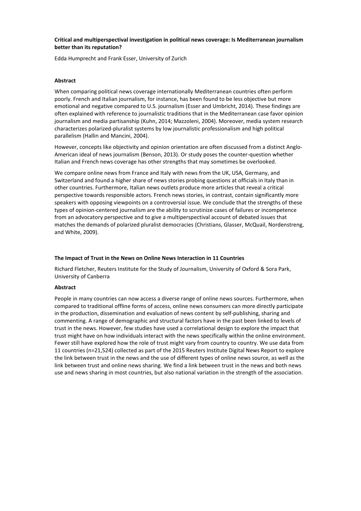#### **Critical and multiperspectival investigation in political news coverage: Is Mediterranean journalism better than its reputation?**

Edda Humprecht and Frank Esser, University of Zurich

#### **Abstract**

When comparing political news coverage internationally Mediterranean countries often perform poorly. French and Italian journalism, for instance, has been found to be less objective but more emotional and negative compared to U.S. journalism (Esser and Umbricht, 2014). These findings are often explained with reference to journalistic traditions that in the Mediterranean case favor opinion journalism and media partisanship (Kuhn, 2014; Mazzoleni, 2004). Moreover, media system research characterizes polarized-pluralist systems by low journalistic professionalism and high political parallelism (Hallin and Mancini, 2004).

However, concepts like objectivity and opinion orientation are often discussed from a distinct Anglo-American ideal of news journalism (Benson, 2013). Or study poses the counter-question whether Italian and French news coverage has other strengths that may sometimes be overlooked.

We compare online news from France and Italy with news from the UK, USA, Germany, and Switzerland and found a higher share of news stories probing questions at officials in Italy than in other countries. Furthermore, Italian news outlets produce more articles that reveal a critical perspective towards responsible actors. French news stories, in contrast, contain significantly more speakers with opposing viewpoints on a controversial issue. We conclude that the strengths of these types of opinion-centered journalism are the ability to scrutinize cases of failures or incompetence from an advocatory perspective and to give a multiperspectival account of debated issues that matches the demands of polarized pluralist democracies (Christians, Glasser, McQuail, Nordenstreng, and White, 2009).

#### **The Impact of Trust in the News on Online News Interaction in 11 Countries**

Richard Fletcher, Reuters Institute for the Study of Journalism, University of Oxford & Sora Park, University of Canberra

#### **Abstract**

People in many countries can now access a diverse range of online news sources. Furthermore, when compared to traditional offline forms of access, online news consumers can more directly participate in the production, dissemination and evaluation of news content by self-publishing, sharing and commenting. A range of demographic and structural factors have in the past been linked to levels of trust in the news. However, few studies have used a correlational design to explore the impact that trust might have on how individuals interact with the news specifically within the online environment. Fewer still have explored how the role of trust might vary from country to country. We use data from 11 countries (n=21,524) collected as part of the 2015 Reuters Institute Digital News Report to explore the link between trust in the news and the use of different types of online news source, as well as the link between trust and online news sharing. We find a link between trust in the news and both news use and news sharing in most countries, but also national variation in the strength of the association.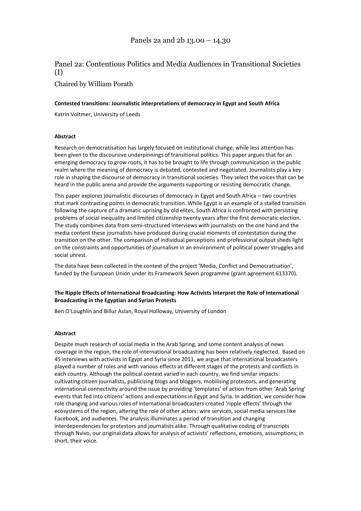# Panel 2a: Contentious Politics and Media Audiences in Transitional Societies (I)

Chaired by William Porath

#### **Contested transitions: Journalistic interpretations of democracy in Egypt and South Africa**

Katrin Voltmer, University of Leeds

#### **Abstract**

Research on democratisation has largely focused on institutional change, while less attention has been given to the discoursive underpinnings of transitional politics. This paper argues that for an emerging democracy to grow roots, it has to be brought to life through communication in the public realm where the meaning of democracy is debated, contested and negotiated. Journalists play a key role in shaping the discourse of democracy in transitional societies. They select the voices that can be heard in the public arena and provide the arguments supporting or resisting democratic change.

This paper explores journalistic discourses of democracy in Egypt and South Africa – two countries that mark contrasting points in democratic transition. While Egypt is an example of a stalled transition following the capture of a dramatic uprising by old elites, South Africa is confronted with persisting problems of social inequality and limited citizenship twenty years after the first democratic election. The study combines data from semi-structured interviews with journalists on the one hand and the media content these journalists have produced during crucial moments of contestation during the transition on the other. The comparison of individual perceptions and professional output sheds light on the constraints and opportunities of journalism in an environment of political power struggles and social unrest.

The data have been collected in the context of the project 'Media, Conflict and Democratisation', funded by the European Union under its Framework Seven programme (grant agreement 613370).

#### **The Ripple Effects of International Broadcasting: How Activists Interpret the Role of International Broadcasting in the Egyptian and Syrian Protests**

Ben O'Loughlin and Billur Aslan, Royal Holloway, University of London

#### **Abstract**

Despite much research of social media in the Arab Spring, and some content analysis of news coverage in the region, the role of international broadcasting has been relatively neglected. Based on 45 interviews with activists in Egypt and Syria since 2011, we argue that international broadcasters played a number of roles and with various effects at different stages of the protests and conflicts in each country. Although the political context varied in each country, we find similar impacts: cultivating citizen journalists, publicizing blogs and bloggers, mobilising protestors, and generating international connectivity around the issue by providing 'templates' of action from other 'Arab Spring' events that fed into citizens' actions and expectations in Egypt and Syria. In addition, we consider how role changing and various roles of international broadcasters created 'ripple effects' through the ecosystems of the region, altering the role of other actors: wire services, social media services like Facebook, and audiences. The analysis illuminates a period of transition and changing interdependencies for protestors and journalists alike. Through qualitative coding of transcripts through Nvivo, our original data allows for analysis of activists' reflections, emotions, assumptions; in short, their voice.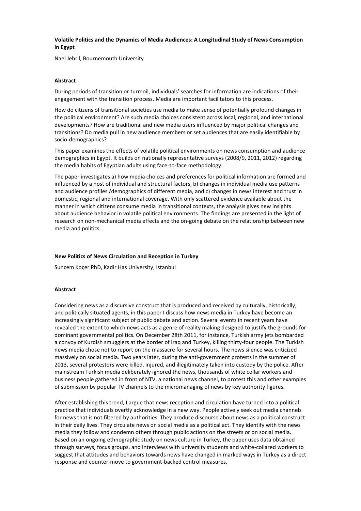#### **Volatile Politics and the Dynamics of Media Audiences: A Longitudinal Study of News Consumption in Egypt**

Nael Jebril, Bournemouth University

#### **Abstract**

During periods of transition or turmoil, individuals' searches for information are indications of their engagement with the transition process. Media are important facilitators to this process.

How do citizens of transitional societies use media to make sense of potentially profound changes in the political environment? Are such media choices consistent across local, regional, and international developments? How are traditional and new media users influenced by major political changes and transitions? Do media pull in new audience members or set audiences that are easily identifiable by socio-demographics?

This paper examines the effects of volatile political environments on news consumption and audience demographics in Egypt. It builds on nationally representative surveys (2008/9, 2011, 2012) regarding the media habits of Egyptian adults using face-to-face methodology.

The paper investigates a) how media choices and preferences for political information are formed and influenced by a host of individual and structural factors, b) changes in individual media use patterns and audience profiles /demographics of different media, and c) changes in news interest and trust in domestic, regional and international coverage. With only scattered evidence available about the manner in which citizens consume media in transitional contexts, the analysis gives new insights about audience behavior in volatile political environments. The findings are presented in the light of research on non-mechanical media effects and the on-going debate on the relationship between new media and politics.

#### **New Politics of News Circulation and Reception in Turkey**

Suncem Koçer PhD, Kadir Has University, Istanbul

#### **Abstract**

Considering news as a discursive construct that is produced and received by culturally, historically, and politically situated agents, in this paper I discuss how news media in Turkey have become an increasingly significant subject of public debate and action. Several events in recent years have revealed the extent to which news acts as a genre of reality making designed to justify the grounds for dominant governmental politics. On December 28th 2011, for instance, Turkish army jets bombarded a convoy of Kurdish smugglers at the border of Iraq and Turkey, killing thirty-four people. The Turkish news media chose not to report on the massacre for several hours. The news silence was criticized massively on social media. Two years later, during the anti-government protests in the summer of 2013, several protestors were killed, injured, and illegitimately taken into custody by the police. After mainstream Turkish media deliberately ignored the news, thousands of white collar workers and business people gathered in front of NTV, a national news channel, to protest this and other examples of submission by popular TV channels to the micromanaging of news by key authority figures.

After establishing this trend, I argue that news reception and circulation have turned into a political practice that individuals overtly acknowledge in a new way. People actively seek out media channels for news that is not filtered by authorities. They produce discourse about news as a political construct in their daily lives. They circulate news on social media as a political act. They identify with the news media they follow and condemn others through public actions on the streets or on social media. Based on an ongoing ethnographic study on news culture in Turkey, the paper uses data obtained through surveys, focus groups, and interviews with university students and white-collared workers to suggest that attitudes and behaviors towards news have changed in marked ways in Turkey as a direct response and counter-move to government-backed control measures.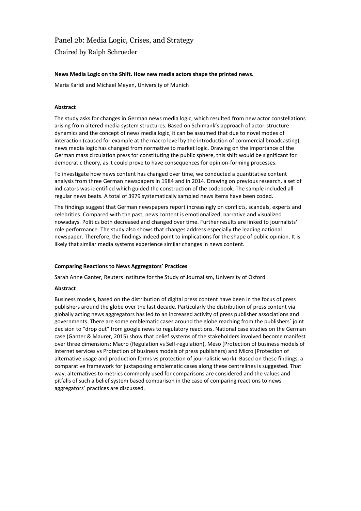# Panel 2b: Media Logic, Crises, and Strategy

Chaired by Ralph Schroeder

#### **News Media Logic on the Shift. How new media actors shape the printed news.**

Maria Karidi and Michael Meyen, University of Munich

#### **Abstract**

The study asks for changes in German news media logic, which resulted from new actor constellations arising from altered media system structures. Based on Schimank's approach of actor-structure dynamics and the concept of news media logic, it can be assumed that due to novel modes of interaction (caused for example at the macro level by the introduction of commercial broadcasting), news media logic has changed from normative to market logic. Drawing on the importance of the German mass circulation press for constituting the public sphere, this shift would be significant for democratic theory, as it could prove to have consequences for opinion-forming processes.

To investigate how news content has changed over time, we conducted a quantitative content analysis from three German newspapers in 1984 and in 2014. Drawing on previous research, a set of indicators was identified which guided the construction of the codebook. The sample included all regular news beats. A total of 3979 systematically sampled news items have been coded.

The findings suggest that German newspapers report increasingly on conflicts, scandals, experts and celebrities. Compared with the past, news content is emotionalized, narrative and visualized nowadays. Politics both decreased and changed over time. Further results are linked to journalists' role performance. The study also shows that changes address especially the leading national newspaper. Therefore, the findings indeed point to implications for the shape of public opinion. It is likely that similar media systems experience similar changes in news content.

#### **Comparing Reactions to News Aggregators´ Practices**

Sarah Anne Ganter, Reuters Institute for the Study of Journalism, University of Oxford

#### **Abstract**

Business models, based on the distribution of digital press content have been in the focus of press publishers around the globe over the last decade. Particularly the distribution of press content via globally acting news aggregators has led to an increased activity of press publisher associations and governments. There are some emblematic cases around the globe reaching from the publishers´ joint decision to "drop out" from google news to regulatory reactions. National case studies on the German case (Ganter & Maurer, 2015) show that belief systems of the stakeholders involved become manifest over three dimensions: Macro (Regulation vs Self-regulation), Meso (Protection of business models of internet services vs Protection of business models of press publishers) and Micro (Protection of alternative usage and production forms vs protection of journalistic work). Based on these findings, a comparative framework for juxtaposing emblematic cases along these centrelines is suggested. That way, alternatives to metrics commonly used for comparisons are considered and the values and pitfalls of such a belief system based comparison in the case of comparing reactions to news aggregators´ practices are discussed.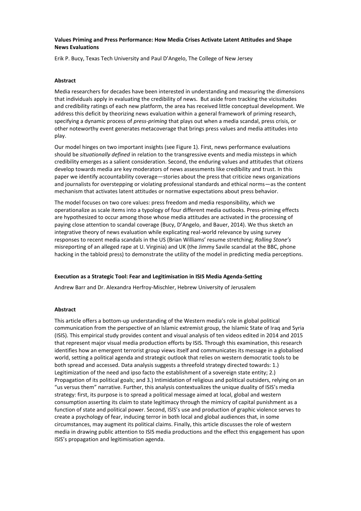#### **Values Priming and Press Performance: How Media Crises Activate Latent Attitudes and Shape News Evaluations**

Erik P. Bucy, Texas Tech University and Paul D'Angelo, The College of New Jersey

#### **Abstract**

Media researchers for decades have been interested in understanding and measuring the dimensions that individuals apply in evaluating the credibility of news. But aside from tracking the vicissitudes and credibility ratings of each new platform, the area has received little conceptual development. We address this deficit by theorizing news evaluation within a general framework of priming research, specifying a dynamic process of *press-priming* that plays out when a media scandal, press crisis, or other noteworthy event generates metacoverage that brings press values and media attitudes into play.

Our model hinges on two important insights (see Figure 1). First, news performance evaluations should be *situationally defined* in relation to the transgressive events and media missteps in which credibility emerges as a salient consideration. Second, the enduring values and attitudes that citizens develop towards media are key moderators of news assessments like credibility and trust. In this paper we identify accountability coverage—stories about the press that criticize news organizations and journalists for overstepping or violating professional standards and ethical norms—as the content mechanism that activates latent attitudes or normative expectations about press behavior.

The model focuses on two core values: press freedom and media responsibility, which we operationalize as scale items into a typology of four different media outlooks. Press-priming effects are hypothesized to occur among those whose media attitudes are activated in the processing of paying close attention to scandal coverage (Bucy, D'Angelo, and Bauer, 2014). We thus sketch an integrative theory of news evaluation while explicating real-world relevance by using survey responses to recent media scandals in the US (Brian Williams' resume stretching; *Rolling Stone's* misreporting of an alleged rape at U. Virginia) and UK (the Jimmy Savile scandal at the BBC, phone hacking in the tabloid press) to demonstrate the utility of the model in predicting media perceptions.

#### **Execution as a Strategic Tool: Fear and Legitimisation in ISIS Media Agenda-Setting**

Andrew Barr and Dr. Alexandra Herfroy-Mischler, Hebrew University of Jerusalem

#### **Abstract**

This article offers a bottom-up understanding of the Western media's role in global political communication from the perspective of an Islamic extremist group, the Islamic State of Iraq and Syria (ISIS). This empirical study provides content and visual analysis of ten videos edited in 2014 and 2015 that represent major visual media production efforts by ISIS. Through this examination, this research identifies how an emergent terrorist group views itself and communicates its message in a globalised world, setting a political agenda and strategic outlook that relies on western democratic tools to be both spread and accessed. Data analysis suggests a threefold strategy directed towards: 1.) Legitimization of the need and ipso facto the establishment of a sovereign state entity; 2.) Propagation of its political goals; and 3.) Intimidation of religious and political outsiders, relying on an "us versus them" narrative. Further, this analysis contextualizes the unique duality of ISIS's media strategy: first, its purpose is to spread a political message aimed at local, global and western consumption asserting its claim to state legitimacy through the mimicry of capital punishment as a function of state and political power. Second, ISIS's use and production of graphic violence serves to create a psychology of fear, inducing terror in both local and global audiences that, in some circumstances, may augment its political claims. Finally, this article discusses the role of western media in drawing public attention to ISIS media productions and the effect this engagement has upon ISIS's propagation and legitimisation agenda.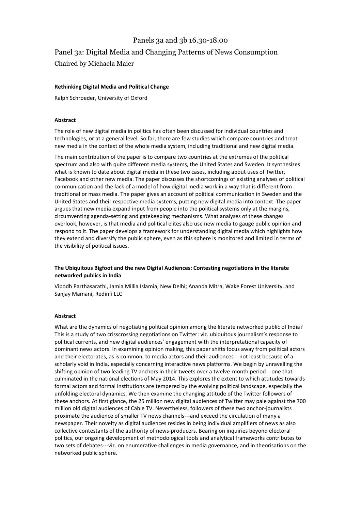## Panels 3a and 3b 16.30-18.00

## Panel 3a: Digital Media and Changing Patterns of News Consumption

Chaired by Michaela Maier

#### **Rethinking Digital Media and Political Change**

Ralph Schroeder, University of Oxford

#### **Abstract**

The role of new digital media in politics has often been discussed for individual countries and technologies, or at a general level. So far, there are few studies which compare countries and treat new media in the context of the whole media system, including traditional and new digital media.

The main contribution of the paper is to compare two countries at the extremes of the political spectrum and also with quite different media systems, the United States and Sweden. It synthesizes what is known to date about digital media in these two cases, including about uses of Twitter, Facebook and other new media. The paper discusses the shortcomings of existing analyses of political communication and the lack of a model of how digital media work in a way that is different from traditional or mass media. The paper gives an account of political communication in Sweden and the United States and their respective media systems, putting new digital media into context. The paper argues that new media expand input from people into the political systems only at the margins, circumventing agenda-setting and gatekeeping mechanisms. What analyses of these changes overlook, however, is that media and political elites also use new media to gauge public opinion and respond to it. The paper develops a framework for understanding digital media which highlights how they extend and diversify the public sphere, even as this sphere is monitored and limited in terms of the visibility of political issues.

#### **The Ubiquitous Bigfoot and the new Digital Audiences: Contesting negotiations in the literate networked publics in India**

Vibodh Parthasarathi, Jamia Millia Islamia, New Delhi; Ananda Mitra, Wake Forest University, and Sanjay Mamani, Redinfi LLC

#### **Abstract**

What are the dynamics of negotiating political opinion among the literate networked public of India? This is a study of two crisscrossing negotiations on Twitter: viz. ubiquitous journalism's response to political currents, and new digital audiences' engagement with the interpretational capacity of dominant news actors. In examining opinion making, this paper shifts focus away from political actors and their electorates, as is common, to media actors and their audiences---not least because of a scholarly void in India, especially concerning interactive news platforms. We begin by unravelling the shifting opinion of two leading TV anchors in their tweets over a twelve-month period---one that culminated in the national elections of May 2014. This explores the extent to which attitudes towards formal actors and formal institutions are tempered by the evolving political landscape, especially the unfolding electoral dynamics. We then examine the changing attitude of the Twitter followers of these anchors. At first glance, the 25 million new digital audiences of Twitter may pale against the 700 million old digital audiences of Cable TV. Nevertheless, followers of these two anchor-journalists proximate the audience of smaller TV news channels---and exceed the circulation of many a newspaper. Their novelty as digital audiences resides in being individual amplifiers of news as also collective contestants of the authority of news-producers. Bearing on inquiries beyond electoral politics, our ongoing development of methodological tools and analytical frameworks contributes to two sets of debates---viz. on enumerative challenges in media governance, and in theorisations on the networked public sphere.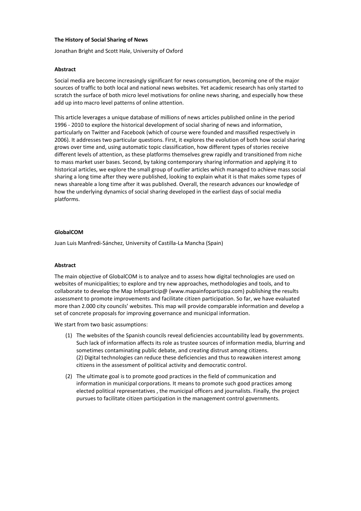#### **The History of Social Sharing of News**

Jonathan Bright and Scott Hale, University of Oxford

#### **Abstract**

Social media are become increasingly significant for news consumption, becoming one of the major sources of traffic to both local and national news websites. Yet academic research has only started to scratch the surface of both micro level motivations for online news sharing, and especially how these add up into macro level patterns of online attention.

This article leverages a unique database of millions of news articles published online in the period 1996 - 2010 to explore the historical development of social sharing of news and information, particularly on Twitter and Facebook (which of course were founded and massified respectively in 2006). It addresses two particular questions. First, it explores the evolution of both how social sharing grows over time and, using automatic topic classification, how different types of stories receive different levels of attention, as these platforms themselves grew rapidly and transitioned from niche to mass market user bases. Second, by taking contemporary sharing information and applying it to historical articles, we explore the small group of outlier articles which managed to achieve mass social sharing a long time after they were published, looking to explain what it is that makes some types of news shareable a long time after it was published. Overall, the research advances our knowledge of how the underlying dynamics of social sharing developed in the earliest days of social media platforms.

#### **GlobalCOM**

Juan Luis Manfredi-Sánchez, University of Castilla-La Mancha (Spain)

#### **Abstract**

The main objective of GlobalCOM is to analyze and to assess how digital technologies are used on websites of municipalities; to explore and try new approaches, methodologies and tools, and to collaborate to develop the Map Infoparticip $\omega$  (www.mapainfoparticipa.com) publishing the results assessment to promote improvements and facilitate citizen participation. So far, we have evaluated more than 2.000 city councils' websites. This map will provide comparable information and develop a set of concrete proposals for improving governance and municipal information.

We start from two basic assumptions:

- (1) The websites of the Spanish councils reveal deficiencies accountability lead by governments. Such lack of information affects its role as trustee sources of information media, blurring and sometimes contaminating public debate, and creating distrust among citizens. (2) Digital technologies can reduce these deficiencies and thus to reawaken interest among citizens in the assessment of political activity and democratic control.
- (2) The ultimate goal is to promote good practices in the field of communication and information in municipal corporations. It means to promote such good practices among elected political representatives , the municipal officers and journalists. Finally, the project pursues to facilitate citizen participation in the management control governments.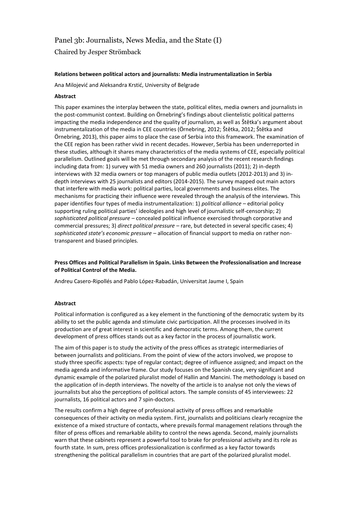## Panel 3b: Journalists, News Media, and the State (I)

Chaired by Jesper Strömback

#### **Relations between political actors and journalists: Media instrumentalization in Serbia**

Ana Milojević and Aleksandra Krstić, University of Belgrade

#### **Abstract**

This paper examines the interplay between the state, political elites, media owners and journalists in the post-communist context. Building on Örnebring's findings about clientelistic political patterns impacting the media independence and the quality of journalism, as well as Štětka's argument about instrumentalization of the media in CEE countries (Örnebring, 2012; Štětka, 2012; Štětka and Örnebring, 2013), this paper aims to place the case of Serbia into this framework. The examination of the CEE region has been rather vivid in recent decades. However, Serbia has been underreported in these studies, although it shares many characteristics of the media systems of CEE, especially political parallelism. Outlined goals will be met through secondary analysis of the recent research findings including data from: 1) survey with 51 media owners and 260 journalists (2011); 2) in-depth interviews with 32 media owners or top managers of public media outlets (2012-2013) and 3) indepth interviews with 25 journalists and editors (2014-2015). The survey mapped out main actors that interfere with media work: political parties, local governments and business elites. The mechanisms for practicing their influence were revealed through the analysis of the interviews. This paper identifies four types of media instrumentalization: 1) *political alliance –* editorial policy supporting ruling political parties' ideologies and high level of journalistic self-censorship; 2) *sophisticated political pressure* – concealed political influence exercised through corporative and commercial pressures; 3) *direct political pressure* – rare, but detected in several specific cases; 4) *sophisticated state's economic pressure* – allocation of financial support to media on rather nontransparent and biased principles.

#### **Press Offices and Political Parallelism in Spain. Links Between the Professionalisation and Increase of Political Control of the Media.**

Andreu Casero-Ripollés and Pablo López-Rabadán, Universitat Jaume I, Spain

#### **Abstract**

Political information is configured as a key element in the functioning of the democratic system by its ability to set the public agenda and stimulate civic participation. All the processes involved in its production are of great interest in scientific and democratic terms. Among them, the current development of press offices stands out as a key factor in the process of journalistic work.

The aim of this paper is to study the activity of the press offices as strategic intermediaries of between journalists and politicians. From the point of view of the actors involved, we propose to study three specific aspects: type of regular contact; degree of influence assigned; and impact on the media agenda and informative frame. Our study focuses on the Spanish case, very significant and dynamic example of the polarized pluralist model of Hallin and Mancini. The methodology is based on the application of in-depth interviews. The novelty of the article is to analyse not only the views of journalists but also the perceptions of political actors. The sample consists of 45 interviewees: 22 journalists, 16 political actors and 7 spin-doctors.

The results confirm a high degree of professional activity of press offices and remarkable consequences of their activity on media system. First, journalists and politicians clearly recognize the existence of a mixed structure of contacts, where prevails formal management relations through the filter of press offices and remarkable ability to control the news agenda. Second, mainly journalists warn that these cabinets represent a powerful tool to brake for professional activity and its role as fourth state. In sum, press offices professionalization is confirmed as a key factor towards strengthening the political parallelism in countries that are part of the polarized pluralist model.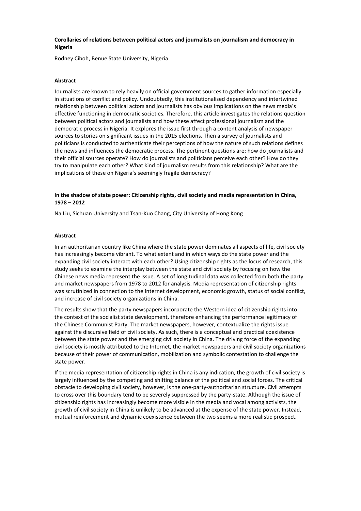#### **Corollaries of relations between political actors and journalists on journalism and democracy in Nigeria**

Rodney Ciboh, Benue State University, Nigeria

#### **Abstract**

Journalists are known to rely heavily on official government sources to gather information especially in situations of conflict and policy. Undoubtedly, this institutionalised dependency and intertwined relationship between political actors and journalists has obvious implications on the news media's effective functioning in democratic societies. Therefore, this article investigates the relations question between political actors and journalists and how these affect professional journalism and the democratic process in Nigeria. It explores the issue first through a content analysis of newspaper sources to stories on significant issues in the 2015 elections. Then a survey of journalists and politicians is conducted to authenticate their perceptions of how the nature of such relations defines the news and influences the democratic process. The pertinent questions are: how do journalists and their official sources operate? How do journalists and politicians perceive each other? How do they try to manipulate each other? What kind of journalism results from this relationship? What are the implications of these on Nigeria's seemingly fragile democracy?

#### **In the shadow of state power: Citizenship rights, civil society and media representation in China, 1978 – 2012**

Na Liu, Sichuan University and Tsan-Kuo Chang, City University of Hong Kong

#### **Abstract**

In an authoritarian country like China where the state power dominates all aspects of life, civil society has increasingly become vibrant. To what extent and in which ways do the state power and the expanding civil society interact with each other? Using citizenship rights as the locus of research, this study seeks to examine the interplay between the state and civil society by focusing on how the Chinese news media represent the issue. A set of longitudinal data was collected from both the party and market newspapers from 1978 to 2012 for analysis. Media representation of citizenship rights was scrutinized in connection to the Internet development, economic growth, status of social conflict, and increase of civil society organizations in China.

The results show that the party newspapers incorporate the Western idea of citizenship rights into the context of the socialist state development, therefore enhancing the performance legitimacy of the Chinese Communist Party. The market newspapers, however, contextualize the rights issue against the discursive field of civil society. As such, there is a conceptual and practical coexistence between the state power and the emerging civil society in China. The driving force of the expanding civil society is mostly attributed to the Internet, the market newspapers and civil society organizations because of their power of communication, mobilization and symbolic contestation to challenge the state power.

If the media representation of citizenship rights in China is any indication, the growth of civil society is largely influenced by the competing and shifting balance of the political and social forces. The critical obstacle to developing civil society, however, is the one-party-authoritarian structure. Civil attempts to cross over this boundary tend to be severely suppressed by the party-state. Although the issue of citizenship rights has increasingly become more visible in the media and vocal among activists, the growth of civil society in China is unlikely to be advanced at the expense of the state power. Instead, mutual reinforcement and dynamic coexistence between the two seems a more realistic prospect.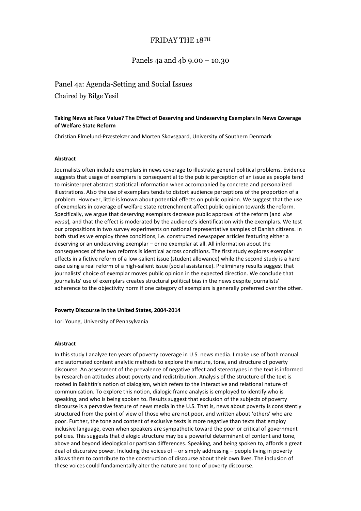## FRIDAY THE 18TH

## Panels 4a and 4b 9.00 – 10.30

## Panel 4a: Agenda-Setting and Social Issues

Chaired by Bilge Yesil

#### **Taking News at Face Value? The Effect of Deserving and Undeserving Exemplars in News Coverage of Welfare State Reform**

Christian Elmelund-Præstekær and Morten Skovsgaard, University of Southern Denmark

#### **Abstract**

Journalists often include exemplars in news coverage to illustrate general political problems. Evidence suggests that usage of exemplars is consequential to the public perception of an issue as people tend to misinterpret abstract statistical information when accompanied by concrete and personalized illustrations. Also the use of exemplars tends to distort audience perceptions of the proportion of a problem. However, little is known about potential effects on public opinion. We suggest that the use of exemplars in coverage of welfare state retrenchment affect public opinion towards the reform. Specifically, we argue that deserving exemplars decrease public approval of the reform (and *vice versa*)*,* and that the effect is moderated by the audience's identification with the exemplars. We test our propositions in two survey experiments on national representative samples of Danish citizens. In both studies we employ three conditions, i.e. constructed newspaper articles featuring either a deserving or an undeserving exemplar – or no exemplar at all. All information about the consequences of the two reforms is identical across conditions. The first study explores exemplar effects in a fictive reform of a low-salient issue (student allowance) while the second study is a hard case using a real reform of a high-salient issue (social assistance). Preliminary results suggest that journalists' choice of exemplar moves public opinion in the expected direction. We conclude that journalists' use of exemplars creates structural political bias in the news despite journalists' adherence to the objectivity norm if one category of exemplars is generally preferred over the other.

#### **Poverty Discourse in the United States, 2004-2014**

Lori Young, University of Pennsylvania

#### **Abstract**

In this study I analyze ten years of poverty coverage in U.S. news media. I make use of both manual and automated content analytic methods to explore the nature, tone, and structure of poverty discourse. An assessment of the prevalence of negative affect and stereotypes in the text is informed by research on attitudes about poverty and redistribution. Analysis of the structure of the text is rooted in Bakhtin's notion of dialogism, which refers to the interactive and relational nature of communication. To explore this notion, dialogic frame analysis is employed to identify who is speaking, and who is being spoken to. Results suggest that exclusion of the subjects of poverty discourse is a pervasive feature of news media in the U.S. That is, news about poverty is consistently structured from the point of view of those who are not poor, and written about 'others' who are poor. Further, the tone and content of exclusive texts is more negative than texts that employ inclusive language, even when speakers are sympathetic toward the poor or critical of government policies. This suggests that dialogic structure may be a powerful determinant of content and tone, above and beyond ideological or partisan differences. Speaking, and being spoken to, affords a great deal of discursive power. Including the voices of – or simply addressing – people living in poverty allows them to contribute to the construction of discourse about their own lives. The inclusion of these voices could fundamentally alter the nature and tone of poverty discourse.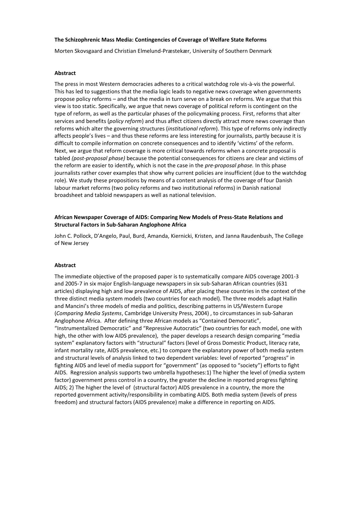#### **The Schizophrenic Mass Media: Contingencies of Coverage of Welfare State Reforms**

Morten Skovsgaard and Christian Elmelund-Præstekær, University of Southern Denmark

#### **Abstract**

The press in most Western democracies adheres to a critical watchdog role vis-à-vis the powerful. This has led to suggestions that the media logic leads to negative news coverage when governments propose policy reforms – and that the media in turn serve on a break on reforms. We argue that this view is too static. Specifically, we argue that news coverage of political reform is contingent on the type of reform, as well as the particular phases of the policymaking process. First, reforms that alter services and benefits (*policy reform*) and thus affect citizens directly attract more news coverage than reforms which alter the governing structures (*institutional reform*). This type of reforms only indirectly affects people's lives – and thus these reforms are less interesting for journalists, partly because it is difficult to compile information on concrete consequences and to identify 'victims' of the reform. Next, we argue that reform coverage is more critical towards reforms when a concrete proposal is tabled *(post-proposal phase)* because the potential consequences for citizens are clear and victims of the reform are easier to identify, which is not the case in the *pre-proposal phase.* In this phase journalists rather cover examples that show why current policies are insufficient (due to the watchdog role). We study these propositions by means of a content analysis of the coverage of four Danish labour market reforms (two policy reforms and two institutional reforms) in Danish national broadsheet and tabloid newspapers as well as national television.

#### **African Newspaper Coverage of AIDS: Comparing New Models of Press-State Relations and Structural Factors in Sub-Saharan Anglophone Africa**

John C. Pollock, D'Angelo, Paul, Burd, Amanda, Kiernicki, Kristen, and Janna Raudenbush, The College of New Jersey

#### **Abstract**

The immediate objective of the proposed paper is to systematically compare AIDS coverage 2001-3 and 2005-7 in six major English-language newspapers in six sub-Saharan African countries (631 articles) displaying high and low prevalence of AIDS, after placing these countries in the context of the three distinct media system models (two countries for each model). The three models adapt Hallin and Mancini's three models of media and politics, describing patterns in US/Western Europe (*Comparing Media Systems*, Cambridge University Press, 2004) , to circumstances in sub-Saharan Anglophone Africa. After defining three African models as "Contained Democratic", "Instrumentalized Democratic" and "Repressive Autocratic" (two countries for each model, one with high, the other with low AIDS prevalence), the paper develops a research design comparing "media system" explanatory factors with "structural" factors (level of Gross Domestic Product, literacy rate, infant mortality rate, AIDS prevalence, etc.) to compare the explanatory power of both media system and structural levels of analysis linked to two dependent variables: level of reported "progress" in fighting AIDS and level of media support for "government" (as opposed to "society") efforts to fight AIDS. Regression analysis supports two umbrella hypotheses:1) The higher the level of (media system factor) government press control in a country, the greater the decline in reported progress fighting AIDS; 2) The higher the level of (structural factor) AIDS prevalence in a country, the more the reported government activity/responsibility in combating AIDS. Both media system (levels of press freedom) and structural factors (AIDS prevalence) make a difference in reporting on AIDS.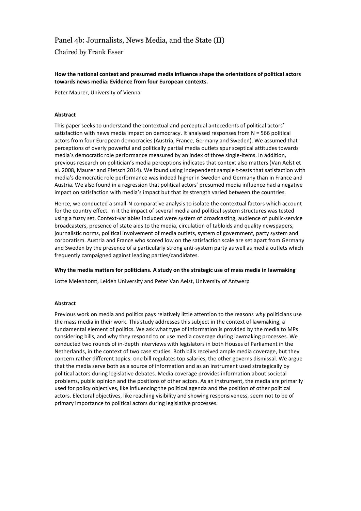## Panel 4b: Journalists, News Media, and the State (II)

Chaired by Frank Esser

#### **How the national context and presumed media influence shape the orientations of political actors towards news media: Evidence from four European contexts.**

Peter Maurer, University of Vienna

#### **Abstract**

This paper seeks to understand the contextual and perceptual antecedents of political actors' satisfaction with news media impact on democracy. It analysed responses from N = 566 political actors from four European democracies (Austria, France, Germany and Sweden). We assumed that perceptions of overly powerful and politically partial media outlets spur sceptical attitudes towards media's democratic role performance measured by an index of three single-items. In addition, previous research on politician's media perceptions indicates that context also matters (Van Aelst et al. 2008, Maurer and Pfetsch 2014). We found using independent sample t-tests that satisfaction with media's democratic role performance was indeed higher in Sweden and Germany than in France and Austria. We also found in a regression that political actors' presumed media influence had a negative impact on satisfaction with media's impact but that its strength varied between the countries.

Hence, we conducted a small-N comparative analysis to isolate the contextual factors which account for the country effect. In it the impact of several media and political system structures was tested using a fuzzy set. Context-variables included were system of broadcasting, audience of public-service broadcasters, presence of state aids to the media, circulation of tabloids and quality newspapers, journalistic norms, political involvement of media outlets, system of government, party system and corporatism. Austria and France who scored low on the satisfaction scale are set apart from Germany and Sweden by the presence of a particularly strong anti-system party as well as media outlets which frequently campaigned against leading parties/candidates.

#### **Why the media matters for politicians. A study on the strategic use of mass media in lawmaking**

Lotte Melenhorst, Leiden University and Peter Van Aelst, University of Antwerp

#### **Abstract**

Previous work on media and politics pays relatively little attention to the reasons *why* politicians use the mass media in their work. This study addresses this subject in the context of lawmaking, a fundamental element of politics. We ask what type of information is provided by the media to MPs considering bills, and why they respond to or use media coverage during lawmaking processes. We conducted two rounds of in-depth interviews with legislators in both Houses of Parliament in the Netherlands, in the context of two case studies. Both bills received ample media coverage, but they concern rather different topics: one bill regulates top salaries, the other governs dismissal. We argue that the media serve both as a source of information and as an instrument used strategically by political actors during legislative debates. Media coverage provides information about societal problems, public opinion and the positions of other actors. As an instrument, the media are primarily used for policy objectives, like influencing the political agenda and the position of other political actors. Electoral objectives, like reaching visibility and showing responsiveness, seem not to be of primary importance to political actors during legislative processes.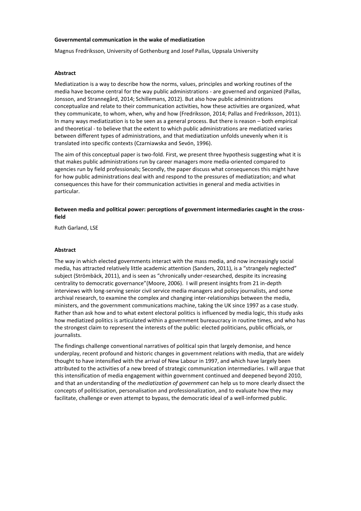#### **Governmental communication in the wake of mediatization**

Magnus Fredriksson, University of Gothenburg and Josef Pallas, Uppsala University

#### **Abstract**

Mediatization is a way to describe how the norms, values, principles and working routines of the media have become central for the way public administrations - are governed and organized (Pallas, Jonsson, and Strannegård, 2014; Schillemans, 2012). But also how public administrations conceptualize and relate to their communication activities, how these activities are organized, what they communicate, to whom, when, why and how (Fredriksson, 2014; Pallas and Fredriksson, 2011). In many ways mediatization is to be seen as a general process. But there is reason – both empirical and theoretical - to believe that the extent to which public administrations are mediatized varies between different types of administrations, and that mediatization unfolds unevenly when it is translated into specific contexts (Czarniawska and Sevón, 1996).

The aim of this conceptual paper is two-fold. First, we present three hypothesis suggesting what it is that makes public administrations run by career managers more media-oriented compared to agencies run by field professionals; Secondly, the paper discuss what consequences this might have for how public administrations deal with and respond to the pressures of mediatization; and what consequences this have for their communication activities in general and media activities in particular.

#### **Between media and political power: perceptions of government intermediaries caught in the crossfield**

Ruth Garland, LSE

#### **Abstract**

The way in which elected governments interact with the mass media, and now increasingly social media, has attracted relatively little academic attention (Sanders, 2011), is a "strangely neglected" subject (Strömbäck, 2011), and is seen as "chronically under-researched, despite its increasing centrality to democratic governance"(Moore, 2006). I will present insights from 21 in-depth interviews with long-serving senior civil service media managers and policy journalists, and some archival research, to examine the complex and changing inter-relationships between the media, ministers, and the government communications machine, taking the UK since 1997 as a case study. Rather than ask how and to what extent electoral politics is influenced by media logic, this study asks how mediatized politics is articulated within a government bureaucracy in routine times, and who has the strongest claim to represent the interests of the public: elected politicians, public officials, or journalists.

The findings challenge conventional narratives of political spin that largely demonise, and hence underplay, recent profound and historic changes in government relations with media, that are widely thought to have intensified with the arrival of New Labour in 1997, and which have largely been attributed to the activities of a new breed of strategic communication intermediaries. I will argue that this intensification of media engagement within government continued and deepened beyond 2010, and that an understanding of the *mediatization of government* can help us to more clearly dissect the concepts of politicisation, personalisation and professionalization, and to evaluate how they may facilitate, challenge or even attempt to bypass, the democratic ideal of a well-informed public.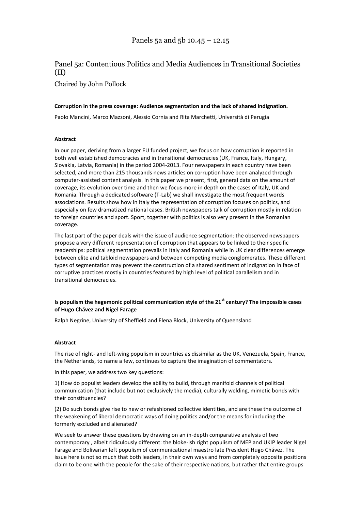# Panel 5a: Contentious Politics and Media Audiences in Transitional Societies (II)

Chaired by John Pollock

#### **Corruption in the press coverage: Audience segmentation and the lack of shared indignation.**

Paolo Mancini, Marco Mazzoni, Alessio Cornia and Rita Marchetti, Università di Perugia

#### **Abstract**

In our paper, deriving from a larger EU funded project, we focus on how corruption is reported in both well established democracies and in transitional democracies (UK, France, Italy, Hungary, Slovakia, Latvia, Romania) in the period 2004-2013. Four newspapers in each country have been selected, and more than 215 thousands news articles on corruption have been analyzed through computer-assisted content analysis. In this paper we present, first, general data on the amount of coverage, its evolution over time and then we focus more in depth on the cases of Italy, UK and Romania. Through a dedicated software (T-Lab) we shall investigate the most frequent words associations. Results show how in Italy the representation of corruption focuses on politics, and especially on few dramatized national cases. British newspapers talk of corruption mostly in relation to foreign countries and sport. Sport, together with politics is also very present in the Romanian coverage.

The last part of the paper deals with the issue of audience segmentation: the observed newspapers propose a very different representation of corruption that appears to be linked to their specific readerships: political segmentation prevails in Italy and Romania while in UK clear differences emerge between elite and tabloid newspapers and between competing media conglomerates. These different types of segmentation may prevent the construction of a shared sentiment of indignation in face of corruptive practices mostly in countries featured by high level of political parallelism and in transitional democracies.

#### **Is populism the hegemonic political communication style of the 21st century? The impossible cases of Hugo Chávez and Nigel Farage**

Ralph Negrine, University of Sheffield and Elena Block, University of Queensland

#### **Abstract**

The rise of right- and left-wing populism in countries as dissimilar as the UK, Venezuela, Spain, France, the Netherlands, to name a few, continues to capture the imagination of commentators.

In this paper, we address two key questions:

1) How do populist leaders develop the ability to build, through manifold channels of political communication (that include but not exclusively the media), culturally welding, mimetic bonds with their constituencies?

(2) Do such bonds give rise to new or refashioned collective identities, and are these the outcome of the weakening of liberal democratic ways of doing politics and/or the means for including the formerly excluded and alienated?

We seek to answer these questions by drawing on an in-depth comparative analysis of two contemporary , albeit ridiculously different: the bloke-ish right populism of MEP and UKIP leader Nigel Farage and Bolivarian left populism of communicational maestro late President Hugo Chávez. The issue here is not so much that both leaders, in their own ways and from completely opposite positions claim to be one with the people for the sake of their respective nations, but rather that entire groups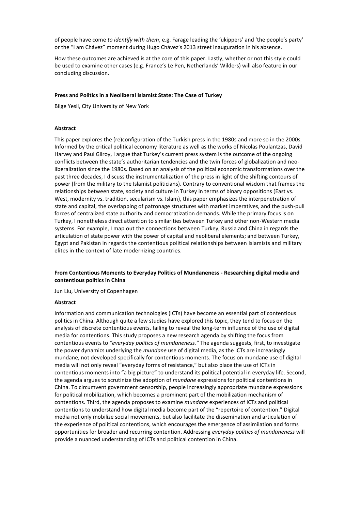of people have come *to identify with them*, e.g. Farage leading the 'ukippers' and 'the people's party' or the "I am Chávez" moment during Hugo Chávez's 2013 street inauguration in his absence.

How these outcomes are achieved is at the core of this paper. Lastly, whether or not this style could be used to examine other cases (e.g. France's Le Pen, Netherlands' Wilders) will also feature in our concluding discussion.

#### **Press and Politics in a Neoliberal Islamist State: The Case of Turkey**

Bilge Yesil, City University of New York

#### **Abstract**

This paper explores the (re)configuration of the Turkish press in the 1980s and more so in the 2000s. Informed by the critical political economy literature as well as the works of Nicolas Poulantzas, David Harvey and Paul Gilroy, I argue that Turkey's current press system is the outcome of the ongoing conflicts between the state's authoritarian tendencies and the twin forces of globalization and neoliberalization since the 1980s. Based on an analysis of the political economic transformations over the past three decades, I discuss the instrumentalization of the press in light of the shifting contours of power (from the military to the Islamist politicians). Contrary to conventional wisdom that frames the relationships between state, society and culture in Turkey in terms of binary oppositions (East vs. West, modernity vs. tradition, secularism vs. Islam), this paper emphasizes the interpenetration of state and capital, the overlapping of patronage structures with market imperatives, and the push-pull forces of centralized state authority and democratization demands. While the primary focus is on Turkey, I nonetheless direct attention to similarities between Turkey and other non-Western media systems. For example, I map out the connections between Turkey, Russia and China in regards the articulation of state power with the power of capital and neoliberal elements; and between Turkey, Egypt and Pakistan in regards the contentious political relationships between Islamists and military elites in the context of late modernizing countries.

#### **From Contentious Moments to Everyday Politics of Mundaneness - Researching digital media and contentious politics in China**

Jun Liu, University of Copenhagen

#### **Abstract**

Information and communication technologies (ICTs) have become an essential part of contentious politics in China. Although quite a few studies have explored this topic, they tend to focus on the analysis of discrete contentious events, failing to reveal the long-term influence of the use of digital media for contentions. This study proposes a new research agenda by shifting the focus from contentious events to *"everyday politics of mundaneness."* The agenda suggests, first, to investigate the power dynamics underlying the *mundane* use of digital media, as the ICTs are increasingly mundane, not developed specifically for contentious moments. The focus on mundane use of digital media will not only reveal "everyday forms of resistance," but also place the use of ICTs in contentious moments into "a big picture" to understand its political potential in everyday life. Second, the agenda argues to scrutinize the adoption of *mundane* expressions for political contentions in China. To circumvent government censorship, people increasingly appropriate mundane expressions for political mobilization, which becomes a prominent part of the mobilization mechanism of contentions. Third, the agenda proposes to examine *mundane* experiences of ICTs and political contentions to understand how digital media become part of the "repertoire of contention." Digital media not only mobilize social movements, but also facilitate the dissemination and articulation of the experience of political contentions, which encourages the emergence of assimilation and forms opportunities for broader and recurring contention. Addressing *everyday politics of mundaneness* will provide a nuanced understanding of ICTs and political contention in China.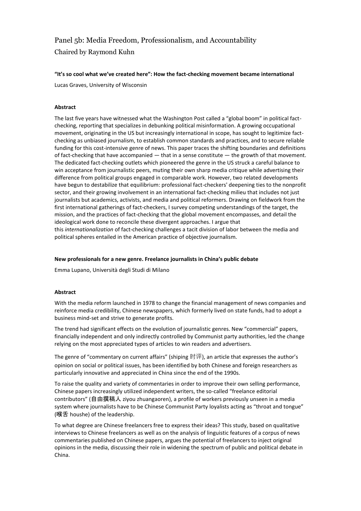# Panel 5b: Media Freedom, Professionalism, and Accountability Chaired by Raymond Kuhn

#### **"It's so cool what we've created here": How the fact-checking movement became international**

Lucas Graves, University of Wisconsin

#### **Abstract**

The last five years have witnessed what the Washington Post called a "global boom" in political factchecking, reporting that specializes in debunking political misinformation. A growing occupational movement, originating in the US but increasingly international in scope, has sought to legitimize factchecking as unbiased journalism, to establish common standards and practices, and to secure reliable funding for this cost-intensive genre of news. This paper traces the shifting boundaries and definitions of fact-checking that have accompanied — that in a sense constitute — the growth of that movement. The dedicated fact-checking outlets which pioneered the genre in the US struck a careful balance to win acceptance from journalistic peers, muting their own sharp media critique while advertising their difference from political groups engaged in comparable work. However, two related developments have begun to destabilize that equilibrium: professional fact-checkers' deepening ties to the nonprofit sector, and their growing involvement in an international fact-checking milieu that includes not just journalists but academics, activists, and media and political reformers. Drawing on fieldwork from the first international gatherings of fact-checkers, I survey competing understandings of the target, the mission, and the practices of fact-checking that the global movement encompasses, and detail the ideological work done to reconcile these divergent approaches. I argue that this *internationalization* of fact-checking challenges a tacit division of labor between the media and political spheres entailed in the American practice of objective journalism.

#### **New professionals for a new genre. Freelance journalists in China's public debate**

Emma Lupano, Università degli Studi di Milano

#### **Abstract**

With the media reform launched in 1978 to change the financial management of news companies and reinforce media credibility, Chinese newspapers, which formerly lived on state funds, had to adopt a business mind-set and strive to generate profits.

The trend had significant effects on the evolution of journalistic genres. New "commercial" papers, financially independent and only indirectly controlled by Communist party authorities, led the change relying on the most appreciated types of articles to win readers and advertisers.

The genre of "commentary on current affairs" (shiping  $H(\mathbb{F})$ , an article that expresses the author's opinion on social or political issues, has been identified by both Chinese and foreign researchers as particularly innovative and appreciated in China since the end of the 1990s.

To raise the quality and variety of commentaries in order to improve their own selling performance, Chinese papers increasingly utilized independent writers, the so-called "freelance editorial contributors" (自由撰稿人 ziyou zhuangaoren), a profile of workers previously unseen in a media system where journalists have to be Chinese Communist Party loyalists acting as "throat and tongue" (喉舌 houshe) of the leadership.

To what degree are Chinese freelancers free to express their ideas? This study, based on qualitative interviews to Chinese freelancers as well as on the analysis of linguistic features of a corpus of news commentaries published on Chinese papers, argues the potential of freelancers to inject original opinions in the media, discussing their role in widening the spectrum of public and political debate in China.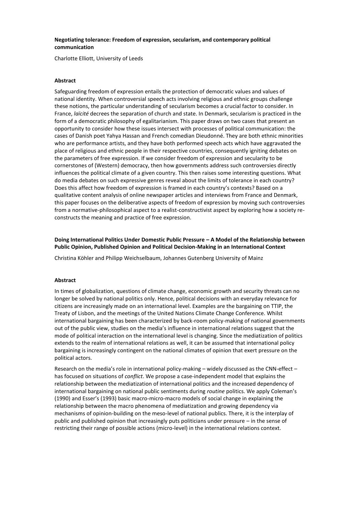#### **Negotiating tolerance: Freedom of expression, secularism, and contemporary political communication**

Charlotte Elliott, University of Leeds

#### **Abstract**

Safeguarding freedom of expression entails the protection of democratic values and values of national identity. When controversial speech acts involving religious and ethnic groups challenge these notions, the particular understanding of secularism becomes a crucial factor to consider. In France, *laïcité* decrees the separation of church and state. In Denmark, secularism is practiced in the form of a democratic philosophy of egalitarianism. This paper draws on two cases that present an opportunity to consider how these issues intersect with processes of political communication: the cases of Danish poet Yahya Hassan and French comedian Dieudonné. They are both ethnic minorities who are performance artists, and they have both performed speech acts which have aggravated the place of religious and ethnic people in their respective countries, consequently igniting debates on the parameters of free expression. If we consider freedom of expression and secularity to be cornerstones of (Western) democracy, then how governments address such controversies directly influences the political climate of a given country. This then raises some interesting questions. What do media debates on such expressive genres reveal about the limits of tolerance in each country? Does this affect how freedom of expression is framed in each country's contexts? Based on a qualitative content analysis of online newspaper articles and interviews from France and Denmark, this paper focuses on the deliberative aspects of freedom of expression by moving such controversies from a normative-philosophical aspect to a realist-constructivist aspect by exploring how a society reconstructs the meaning and practice of free expression.

**Doing International Politics Under Domestic Public Pressure – A Model of the Relationship between Public Opinion, Published Opinion and Political Decision-Making in an International Context**

Christina Köhler and Philipp Weichselbaum, Johannes Gutenberg University of Mainz

#### **Abstract**

In times of globalization, questions of climate change, economic growth and security threats can no longer be solved by national politics only. Hence, political decisions with an everyday relevance for citizens are increasingly made on an international level. Examples are the bargaining on TTIP, the Treaty of Lisbon, and the meetings of the United Nations Climate Change Conference. Whilst international bargaining has been characterized by back-room policy-making of national governments out of the public view, studies on the media's influence in international relations suggest that the mode of political interaction on the international level is changing. Since the mediatization of politics extends to the realm of international relations as well, it can be assumed that international policy bargaining is increasingly contingent on the national climates of opinion that exert pressure on the political actors.

Research on the media's role in international policy-making – widely discussed as the CNN-effect – has focused on situations of *conflict*. We propose a case-independent model that explains the relationship between the mediatization of international politics and the increased dependency of international bargaining on national public sentiments during *routine* politics. We apply Coleman's (1990) and Esser's (1993) basic macro-micro-macro models of social change in explaining the relationship between the macro phenomena of mediatization and growing dependency via mechanisms of opinion-building on the meso-level of national publics. There, it is the interplay of public and published opinion that increasingly puts politicians under pressure – in the sense of restricting their range of possible actions (micro-level) in the international relations context.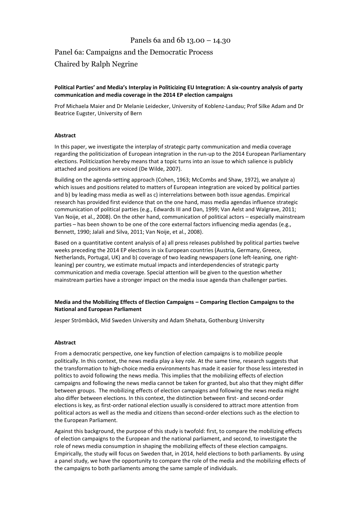## Panels 6a and 6b 13.00 – 14.30

# Panel 6a: Campaigns and the Democratic Process Chaired by Ralph Negrine

#### **Political Parties' and Media's Interplay in Politicizing EU Integration: A six-country analysis of party communication and media coverage in the 2014 EP election campaigns**

Prof Michaela Maier and Dr Melanie Leidecker, University of Koblenz-Landau; Prof Silke Adam and Dr Beatrice Eugster, University of Bern

#### **Abstract**

In this paper, we investigate the interplay of strategic party communication and media coverage regarding the politicization of European integration in the run-up to the 2014 European Parliamentary elections. Politicization hereby means that a topic turns into an issue to which salience is publicly attached and positions are voiced (De Wilde, 2007).

Building on the agenda-setting approach (Cohen, 1963; McCombs and Shaw, 1972), we analyze a) which issues and positions related to matters of European integration are voiced by political parties and b) by leading mass media as well as c) interrelations between both issue agendas. Empirical research has provided first evidence that on the one hand, mass media agendas influence strategic communication of political parties (e.g., Edwards III and Dan, 1999; Van Aelst and Walgrave, 2011; Van Noije, et al., 2008). On the other hand, communication of political actors – especially mainstream parties – has been shown to be one of the core external factors influencing media agendas (e.g., Bennett, 1990; Jalali and Silva, 2011; Van Noije, et al., 2008).

Based on a quantitative content analysis of a) all press releases published by political parties twelve weeks preceding the 2014 EP elections in six European countries (Austria, Germany, Greece, Netherlands, Portugal, UK) and b) coverage of two leading newspapers (one left-leaning, one rightleaning) per country, we estimate mutual impacts and interdependencies of strategic party communication and media coverage. Special attention will be given to the question whether mainstream parties have a stronger impact on the media issue agenda than challenger parties.

#### **Media and the Mobilizing Effects of Election Campaigns – Comparing Election Campaigns to the National and European Parliament**

Jesper Strömbäck, Mid Sweden University and Adam Shehata, Gothenburg University

#### **Abstract**

From a democratic perspective, one key function of election campaigns is to mobilize people politically. In this context, the news media play a key role. At the same time, research suggests that the transformation to high-choice media environments has made it easier for those less interested in politics to avoid following the news media. This implies that the mobilizing effects of election campaigns and following the news media cannot be taken for granted, but also that they might differ between groups. The mobilizing effects of election campaigns and following the news media might also differ between elections. In this context, the distinction between first- and second-order elections is key, as first-order national election usually is considered to attract more attention from political actors as well as the media and citizens than second-order elections such as the election to the European Parliament.

Against this background, the purpose of this study is twofold: first, to compare the mobilizing effects of election campaigns to the European and the national parliament, and second, to investigate the role of news media consumption in shaping the mobilizing effects of these election campaigns. Empirically, the study will focus on Sweden that, in 2014, held elections to both parliaments. By using a panel study, we have the opportunity to compare the role of the media and the mobilizing effects of the campaigns to both parliaments among the same sample of individuals.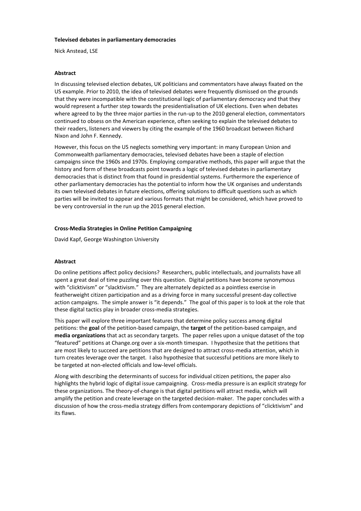#### **Televised debates in parliamentary democracies**

Nick Anstead, LSE

#### **Abstract**

In discussing televised election debates, UK politicians and commentators have always fixated on the US example. Prior to 2010, the idea of televised debates were frequently dismissed on the grounds that they were incompatible with the constitutional logic of parliamentary democracy and that they would represent a further step towards the presidentialisation of UK elections. Even when debates where agreed to by the three major parties in the run-up to the 2010 general election, commentators continued to obsess on the American experience, often seeking to explain the televised debates to their readers, listeners and viewers by citing the example of the 1960 broadcast between Richard Nixon and John F. Kennedy.

However, this focus on the US neglects something very important: in many European Union and Commonwealth parliamentary democracies, televised debates have been a staple of election campaigns since the 1960s and 1970s. Employing comparative methods, this paper will argue that the history and form of these broadcasts point towards a logic of televised debates in parliamentary democracies that is distinct from that found in presidential systems. Furthermore the experience of other parliamentary democracies has the potential to inform how the UK organises and understands its own televised debates in future elections, offering solutions to difficult questions such as which parties will be invited to appear and various formats that might be considered, which have proved to be very controversial in the run up the 2015 general election.

#### **Cross-Media Strategies in Online Petition Campaigning**

David Kapf, George Washington University

#### **Abstract**

Do online petitions affect policy decisions? Researchers, public intellectuals, and journalists have all spent a great deal of time puzzling over this question. Digital petitions have become synonymous with "clicktivism" or "slacktivism." They are alternately depicted as a pointless exercise in featherweight citizen participation and as a driving force in many successful present-day collective action campaigns. The simple answer is "it depends." The goal of this paper is to look at the role that these digital tactics play in broader cross-media strategies.

This paper will explore three important features that determine policy success among digital petitions: the **goal** of the petition-based campaign, the **target** of the petition-based campaign, and **media organizations** that act as secondary targets. The paper relies upon a unique dataset of the top "featured" petitions at Change.org over a six-month timespan. I hypothesize that the petitions that are most likely to succeed are petitions that are designed to attract cross-media attention, which in turn creates leverage over the target. I also hypothesize that successful petitions are more likely to be targeted at non-elected officials and low-level officials.

Along with describing the determinants of success for individual citizen petitions, the paper also highlights the hybrid logic of digital issue campaigning. Cross-media pressure is an explicit strategy for these organizations. The theory-of-change is that digital petitions will attract media, which will amplify the petition and create leverage on the targeted decision-maker. The paper concludes with a discussion of how the cross-media strategy differs from contemporary depictions of "clicktivism" and its flaws.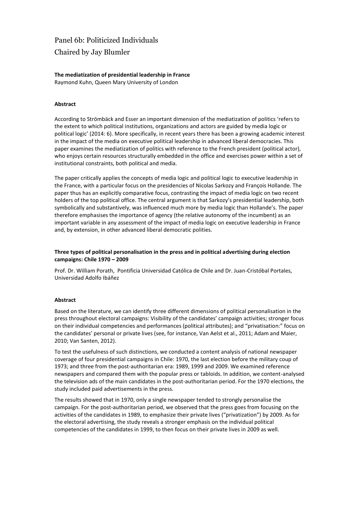# Panel 6b: Politicized Individuals Chaired by Jay Blumler

## **The mediatization of presidential leadership in France**

Raymond Kuhn, Queen Mary University of London

#### **Abstract**

According to Strömbäck and Esser an important dimension of the mediatization of politics 'refers to the extent to which political institutions, organizations and actors are guided by media logic or political logic' (2014: 6). More specifically, in recent years there has been a growing academic interest in the impact of the media on executive political leadership in advanced liberal democracies. This paper examines the mediatization of politics with reference to the French president (political actor), who enjoys certain resources structurally embedded in the office and exercises power within a set of institutional constraints, both political and media.

The paper critically applies the concepts of media logic and political logic to executive leadership in the France, with a particular focus on the presidencies of Nicolas Sarkozy and François Hollande. The paper thus has an explicitly comparative focus, contrasting the impact of media logic on two recent holders of the top political office. The central argument is that Sarkozy's presidential leadership, both symbolically and substantively, was influenced much more by media logic than Hollande's. The paper therefore emphasises the importance of agency (the relative autonomy of the incumbent) as an important variable in any assessment of the impact of media logic on executive leadership in France and, by extension, in other advanced liberal democratic polities.

#### **Three types of political personalisation in the press and in political advertising during election campaigns: Chile 1970 – 2009**

Prof. Dr. William Porath, Pontificia Universidad Católica de Chile and Dr. Juan-Cristóbal Portales, Universidad Adolfo Ibáñez

#### **Abstract**

Based on the literature, we can identify three different dimensions of political personalisation in the press throughout electoral campaigns: Visibility of the candidates' campaign activities; stronger focus on their individual competencies and performances (political attributes); and "privatisation:" focus on the candidates' personal or private lives (see, for instance, Van Aelst et al., 2011; Adam and Maier, 2010; Van Santen, 2012).

To test the usefulness of such distinctions, we conducted a content analysis of national newspaper coverage of four presidential campaigns in Chile: 1970, the last election before the military coup of 1973; and three from the post-authoritarian era: 1989, 1999 and 2009. We examined reference newspapers and compared them with the popular press or tabloids. In addition, we content-analysed the television ads of the main candidates in the post-authoritarian period. For the 1970 elections, the study included paid advertisements in the press.

The results showed that in 1970, only a single newspaper tended to strongly personalise the campaign. For the post-authoritarian period, we observed that the press goes from focusing on the activities of the candidates in 1989, to emphasize their private lives ("privatization") by 2009. As for the electoral advertising, the study reveals a stronger emphasis on the individual political competencies of the candidates in 1999, to then focus on their private lives in 2009 as well.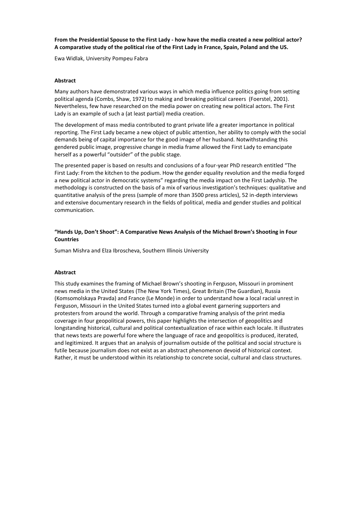#### **From the Presidential Spouse to the First Lady - how have the media created a new political actor? A comparative study of the political rise of the First Lady in France, Spain, Poland and the US.**

Ewa Widlak, University Pompeu Fabra

#### **Abstract**

Many authors have demonstrated various ways in which media influence politics going from setting political agenda (Combs, Shaw, 1972) to making and breaking political careers (Foerstel, 2001). Nevertheless, few have researched on the media power on creating new political actors. The First Lady is an example of such a (at least partial) media creation.

The development of mass media contributed to grant private life a greater importance in political reporting. The First Lady became a new object of public attention, her ability to comply with the social demands being of capital importance for the good image of her husband. Notwithstanding this gendered public image, progressive change in media frame allowed the First Lady to emancipate herself as a powerful "outsider" of the public stage.

The presented paper is based on results and conclusions of a four-year PhD research entitled "The First Lady: From the kitchen to the podium. How the gender equality revolution and the media forged a new political actor in democratic systems" regarding the media impact on the First Ladyship. The methodology is constructed on the basis of a mix of various investigation's techniques: qualitative and quantitative analysis of the press (sample of more than 3500 press articles), 52 in-depth interviews and extensive documentary research in the fields of political, media and gender studies and political communication.

#### **"Hands Up, Don't Shoot": A Comparative News Analysis of the Michael Brown's Shooting in Four Countries**

Suman Mishra and Elza Ibroscheva, Southern Illinois University

#### **Abstract**

This study examines the framing of Michael Brown's shooting in Ferguson, Missouri in prominent news media in the United States (The New York Times), Great Britain (The Guardian), Russia (Komsomolskaya Pravda) and France (Le Monde) in order to understand how a local racial unrest in Ferguson, Missouri in the United States turned into a global event garnering supporters and protesters from around the world. Through a comparative framing analysis of the print media coverage in four geopolitical powers, this paper highlights the intersection of geopolitics and longstanding historical, cultural and political contextualization of race within each locale. It illustrates that news texts are powerful fore where the language of race and geopolitics is produced, iterated, and legitimized. It argues that an analysis of journalism outside of the political and social structure is futile because journalism does not exist as an abstract phenomenon devoid of historical context. Rather, it must be understood within its relationship to concrete social, cultural and class structures.